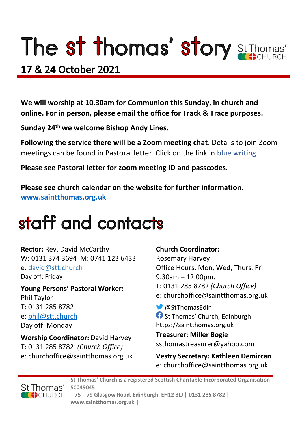# The st thomas' story St Thomas'

### 17 & 24 October 2021

**We will worship at 10.30am for Communion this Sunday, in church and online. For in person, please email the office for Track & Trace purposes.**

**Sunday 24th we welcome Bishop Andy Lines.**

**Following the service there will be a Zoom meeting chat**. Details to join Zoom meetings can be found in Pastoral letter. Click on the link in blue writing.

**Please see Pastoral letter for zoom meeting ID and passcodes.**

**Please see church calendar on the website for further information. [www.saintthomas.org.uk](http://www.saintthomas.org.uk/)**

### staff and contacts

**Rector:** Rev. David McCarthy W: 0131 374 3694 M: 0741 123 6433 e: david@stt.church Day off: Friday

**Young Persons' Pastoral Worker:** Phil Taylor T: 0131 285 8782 e: [phil@stt.church](mailto:phil@stt.church) Day off: Monday

**Worship Coordinator:** David Harvey T: 0131 285 8782 *(Church Office)* e: churchoffice@saintthomas.org.uk

#### **Church Coordinator:**

Rosemary Harvey Office Hours: Mon, Wed, Thurs, Fri 9.30am – 12.00pm. T: 0131 285 8782 *(Church Office)* e: churchoffice@saintthomas.org.uk

@StThomasEdin **St Thomas' Church, Edinburgh** https://saintthomas.org.uk

**Treasurer: Miller Bogie** ssthomastreasurer@yahoo.com

**Vestry Secretary: Kathleen Demircan**  e: churchoffice@saintthomas.org.uk



**St Thomas' Church is a registered Scottish Charitable Incorporated Organisation SC049045 | 75 – 79 Glasgow Road, Edinburgh, EH12 8LJ | 0131 285 8782 |** 

**www.saintthomas.org.uk |**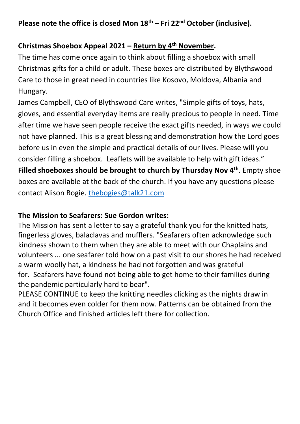#### **Christmas Shoebox Appeal 2021 – Return by 4th November.**

The time has come once again to think about filling a shoebox with small Christmas gifts for a child or adult. These boxes are distributed by Blythswood Care to those in great need in countries like Kosovo, Moldova, Albania and Hungary.

James Campbell, CEO of Blythswood Care writes, "Simple gifts of toys, hats, gloves, and essential everyday items are really precious to people in need. Time after time we have seen people receive the exact gifts needed, in ways we could not have planned. This is a great blessing and demonstration how the Lord goes before us in even the simple and practical details of our lives. Please will you consider filling a shoebox. Leaflets will be available to help with gift ideas." **Filled shoeboxes should be brought to church by Thursday Nov 4th** . Empty shoe boxes are available at the back of the church. If you have any questions please contact Alison Bogie. [thebogies@talk21.com](mailto:thebogies@talk21.com)

#### **The Mission to Seafarers: Sue Gordon writes:**

The Mission has sent a letter to say a grateful thank you for the knitted hats, fingerless gloves, balaclavas and mufflers. "Seafarers often acknowledge such kindness shown to them when they are able to meet with our Chaplains and volunteers ... one seafarer told how on a past visit to our shores he had received a warm woolly hat, a kindness he had not forgotten and was grateful for. Seafarers have found not being able to get home to their families during the pandemic particularly hard to bear".

PLEASE CONTINUE to keep the knitting needles clicking as the nights draw in and it becomes even colder for them now. Patterns can be obtained from the Church Office and finished articles left there for collection.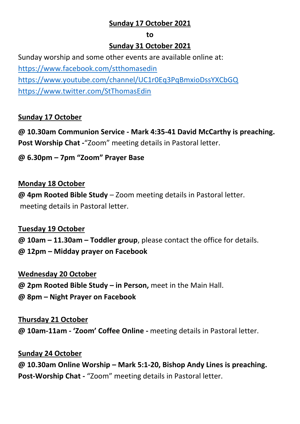#### **Sunday 17 October 2021**

#### **to**

#### **Sunday 31 October 2021**

Sunday worship and some other events are available online at: <https://www.facebook.com/stthomasedin> <https://www.youtube.com/channel/UC1r0Eq3PqBmxioDssYXCbGQ> <https://www.twitter.com/StThomasEdin>

#### **Sunday 17 October**

**@ 10.30am Communion Service - Mark 4:35-41 David McCarthy is preaching. Post Worship Chat -**"Zoom" meeting details in Pastoral letter.

#### **@ 6.30pm – 7pm "Zoom" Prayer Base**

#### **Monday 18 October**

**@ 4pm Rooted Bible Study** – Zoom meeting details in Pastoral letter. meeting details in Pastoral letter.

#### **Tuesday 19 October**

**@ 10am – 11.30am – Toddler group**, please contact the office for details. **@ 12pm – Midday prayer on Facebook**

#### **Wednesday 20 October**

**@ 2pm Rooted Bible Study – in Person,** meet in the Main Hall.

**@ 8pm – Night Prayer on Facebook** 

#### **Thursday 21 October**

**@ 10am-11am - 'Zoom' Coffee Online -** meeting details in Pastoral letter.

#### **Sunday 24 October**

**@ 10.30am Online Worship – Mark 5:1-20, Bishop Andy Lines is preaching. Post-Worship Chat -** "Zoom" meeting details in Pastoral letter.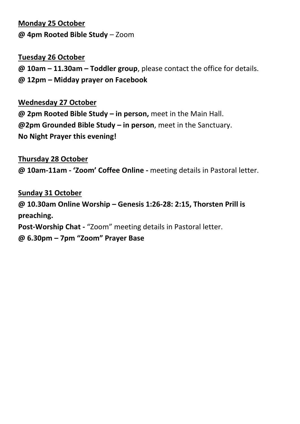#### **Monday 25 October @ 4pm Rooted Bible Study** – Zoom

#### **Tuesday 26 October**

**@ 10am – 11.30am – Toddler group**, please contact the office for details. **@ 12pm – Midday prayer on Facebook**

#### **Wednesday 27 October**

**@ 2pm Rooted Bible Study – in person,** meet in the Main Hall. **@2pm Grounded Bible Study – in person**, meet in the Sanctuary. **No Night Prayer this evening!**

#### **Thursday 28 October**

**@ 10am-11am - 'Zoom' Coffee Online -** meeting details in Pastoral letter.

#### **Sunday 31 October @ 10.30am Online Worship – Genesis 1:26-28: 2:15, Thorsten Prill is preaching. Post-Worship Chat -** "Zoom" meeting details in Pastoral letter.

**@ 6.30pm – 7pm "Zoom" Prayer Base**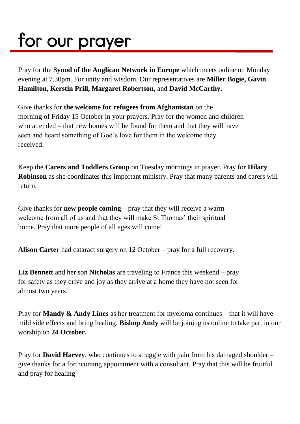## for our prayer

Pray for the **Synod of the Anglican Network in Europe** which meets online on Monday evening at 7.30pm. For unity and wisdom. Our representatives are **Miller Bogie, Gavin Hamilton, Kerstin Prill, Margaret Robertson,** and **David McCarthy.**

Give thanks for **the welcome for refugees from Afghanistan** on the morning of Friday 15 October in your prayers. Pray for the women and children who attended – that new homes will be found for them and that they will have seen and heard something of God's love for them in the welcome they received.

Keep the **Carers and Toddlers Group** on Tuesday mornings in prayer. Pray for **Hilary Robinson** as she coordinates this important ministry. Pray that many parents and carers will return.

Give thanks for **new people coming** – pray that they will receive a warm welcome from all of us and that they will make St Thomas' their spiritual home. Pray that more people of all ages will come!

**Alison Carter** had cataract surgery on 12 October – pray for a full recovery.

**Liz Bennett** and her son **Nicholas** are traveling to France this weekend – pray for safety as they drive and joy as they arrive at a home they have not seen for almost two years!

Pray for **Mandy & Andy Lines** as her treatment for myeloma continues – that it will have mild side effects and bring healing. **Bishop Andy** will be joining us online to take part in our worship on **24 October.**

Pray for **David Harvey**, who continues to struggle with pain from his damaged shoulder – give thanks for a forthcoming appointment with a consultant. Pray that this will be fruitful and pray for healing